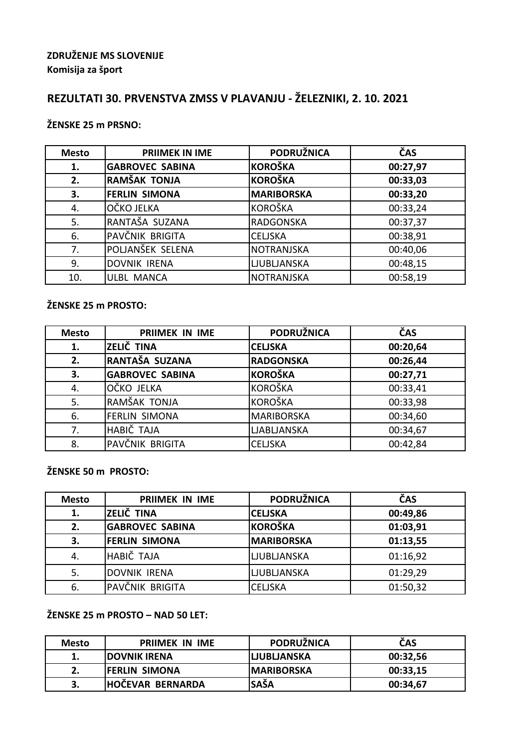## **ZDRUŽENJE MS SLOVENIJE Komisija za šport**

# **REZULTATI 30. PRVENSTVA ZMSS V PLAVANJU - ŽELEZNIKI, 2. 10. 2021**

## **ŽENSKE 25 m PRSNO:**

| <b>Mesto</b> | <b>PRIIMEK IN IME</b>  | <b>PODRUŽNICA</b>  | ČAS      |
|--------------|------------------------|--------------------|----------|
| 1.           | <b>GABROVEC SABINA</b> | <b>KOROŠKA</b>     | 00:27,97 |
| 2.           | RAMŠAK TONJA           | <b>KOROŠKA</b>     | 00:33,03 |
| 3.           | <b>FERLIN SIMONA</b>   | <b>MARIBORSKA</b>  | 00:33,20 |
| 4.           | OČKO JELKA             | <b>KOROŠKA</b>     | 00:33,24 |
| 5.           | RANTAŠA SUZANA         | <b>RADGONSKA</b>   | 00:37,37 |
| 6.           | PAVČNIK BRIGITA        | <b>CELJSKA</b>     | 00:38,91 |
| 7.           | POLJANŠEK SELENA       | <b>NOTRANJSKA</b>  | 00:40,06 |
| 9.           | <b>DOVNIK IRENA</b>    | <b>LJUBLJANSKA</b> | 00:48,15 |
| 10.          | <b>ULBL MANCA</b>      | <b>NOTRANJSKA</b>  | 00:58,19 |

### **ŽENSKE 25 m PROSTO:**

| <b>Mesto</b> | <b>PRIIMEK IN IME</b>  | <b>PODRUŽNICA</b>  | ČAS      |
|--------------|------------------------|--------------------|----------|
| 1.           | ZELIČ TINA             | <b>CELISKA</b>     | 00:20,64 |
| 2.           | RANTAŠA SUZANA         | <b>RADGONSKA</b>   | 00:26,44 |
| 3.           | <b>GABROVEC SABINA</b> | <b>KOROŠKA</b>     | 00:27,71 |
| 4.           | OČKO JELKA             | <b>KOROŠKA</b>     | 00:33,41 |
| 5.           | RAMŠAK TONJA           | <b>KOROŠKA</b>     | 00:33,98 |
| 6.           | <b>FERLIN SIMONA</b>   | <b>MARIBORSKA</b>  | 00:34,60 |
| 7.           | HABIČ TAJA             | <b>LJABLJANSKA</b> | 00:34,67 |
| 8.           | PAVČNIK BRIGITA        | <b>CELJSKA</b>     | 00:42,84 |

**ŽENSKE 50 m PROSTO:**

| <b>Mesto</b> | <b>PRIIMEK IN IME</b>  | <b>PODRUŽNICA</b>  | ČAS      |
|--------------|------------------------|--------------------|----------|
| 1.           | ZELIČ TINA             | <b>CELISKA</b>     | 00:49,86 |
| 2.           | <b>GABROVEC SABINA</b> | <b>KOROŠKA</b>     | 01:03,91 |
| 3.           | <b>FERLIN SIMONA</b>   | <b>MARIBORSKA</b>  | 01:13,55 |
| 4.           | HABIČ TAJA             | <b>LJUBLJANSKA</b> | 01:16,92 |
| 5.           | <b>DOVNIK IRENA</b>    | <b>LJUBLJANSKA</b> | 01:29,29 |
| 6.           | IPAVČNIK BRIGITA       | <b>CELJSKA</b>     | 01:50,32 |

### **ŽENSKE 25 m PROSTO – NAD 50 LET:**

| Mesto | <b>PRIIMEK IN IME</b>   | <b>PODRUŽNICA</b>  | ČAS      |
|-------|-------------------------|--------------------|----------|
|       | <b>IDOVNIK IRENA</b>    | <b>LIUBLIANSKA</b> | 00:32,56 |
| z.    | <b>FERLIN SIMONA</b>    | <b>IMARIBORSKA</b> | 00:33,15 |
| J.    | <b>HOČEVAR BERNARDA</b> | <b>SAŠA</b>        | 00:34,67 |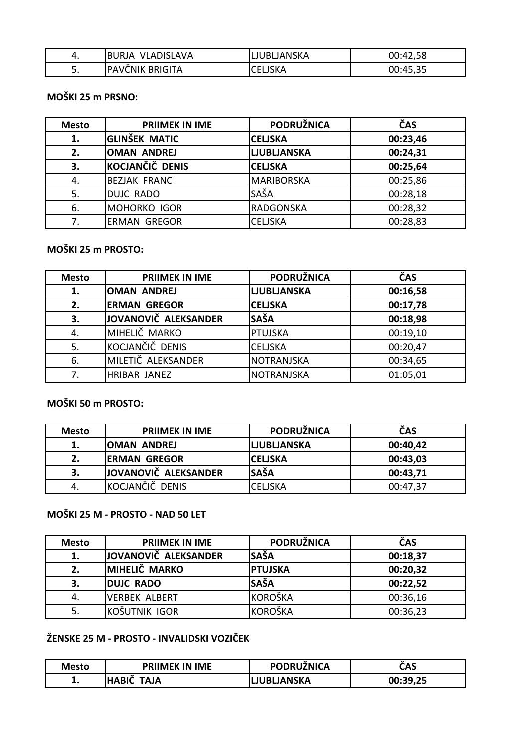| 4.       | BURJA VLADISLAVA | LJUBLJANSKA    | 00:42,58 |
|----------|------------------|----------------|----------|
| <u>.</u> | PAVČNIK BRIGITA  | <b>CELISKA</b> | 00:45,35 |

### **MOŠKI 25 m PRSNO:**

| <b>Mesto</b> | <b>PRIIMEK IN IME</b> | <b>PODRUŽNICA</b>  | ČAS      |
|--------------|-----------------------|--------------------|----------|
| 1.           | <b>GLINŠEK MATIC</b>  | <b>CELISKA</b>     | 00:23,46 |
| 2.           | <b>OMAN ANDREJ</b>    | <b>LJUBLJANSKA</b> | 00:24,31 |
| 3.           | KOCJANČIČ DENIS       | <b>CELISKA</b>     | 00:25,64 |
| 4.           | <b>BEZJAK FRANC</b>   | <b>MARIBORSKA</b>  | 00:25,86 |
| 5.           | <b>DUJC RADO</b>      | SAŠA               | 00:28,18 |
| 6.           | <b>MOHORKO IGOR</b>   | <b>RADGONSKA</b>   | 00:28,32 |
|              | <b>ERMAN GREGOR</b>   | <b>CELJSKA</b>     | 00:28,83 |

## **MOŠKI 25 m PROSTO:**

| <b>Mesto</b> | <b>PRIIMEK IN IME</b> | <b>PODRUŽNICA</b>  | ČAS      |
|--------------|-----------------------|--------------------|----------|
| 1.           | <b>OMAN ANDREJ</b>    | <b>LJUBLJANSKA</b> | 00:16,58 |
| 2.           | <b>ERMAN GREGOR</b>   | <b>CELISKA</b>     | 00:17,78 |
| 3.           | JOVANOVIČ ALEKSANDER  | <b>SAŠA</b>        | 00:18,98 |
| 4.           | MIHELIČ MARKO         | <b>PTUJSKA</b>     | 00:19,10 |
| 5.           | KOCJANČIČ DENIS       | <b>CELJSKA</b>     | 00:20,47 |
| 6.           | MILETIČ ALEKSANDER    | <b>NOTRANJSKA</b>  | 00:34,65 |
| 7.           | <b>HRIBAR JANEZ</b>   | <b>NOTRANJSKA</b>  | 01:05,01 |

### **MOŠKI 50 m PROSTO:**

| <b>Mesto</b> | <b>PRIIMEK IN IME</b> | PODRUŽNICA         | ČAS      |
|--------------|-----------------------|--------------------|----------|
| 1.           | <b>OMAN ANDREJ</b>    | <b>LJUBLJANSKA</b> | 00:40,42 |
| 2.           | <b>ERMAN GREGOR</b>   | <b>CELISKA</b>     | 00:43,03 |
|              | JOVANOVIČ ALEKSANDER  | <b>SAŠA</b>        | 00:43,71 |
| -4.          | KOCJANČIČ DENIS       | CELJSKA            | 00:47,37 |

## **MOŠKI 25 M - PROSTO - NAD 50 LET**

| <b>Mesto</b> | <b>PRIIMEK IN IME</b> | <b>PODRUŽNICA</b> | ČAS      |
|--------------|-----------------------|-------------------|----------|
| 1.           | JOVANOVIČ ALEKSANDER  | <b>SAŠA</b>       | 00:18,37 |
| 2.           | <b>MIHELIČ MARKO</b>  | <b>PTUJSKA</b>    | 00:20,32 |
| 3.           | <b>DUJC RADO</b>      | <b>SAŠA</b>       | 00:22,52 |
| 4.           | <b>VERBEK ALBERT</b>  | <b>KOROŠKA</b>    | 00:36,16 |
|              | IKOŠUTNIK IGOR        | <b>KOROŠKA</b>    | 00:36,23 |

# **ŽENSKE 25 M - PROSTO - INVALIDSKI VOZIČEK**

| <b>Mesto</b> | <b>PRIIMEK IN IME</b> | <b>PODRUŽNICA</b>  | ČAS      |
|--------------|-----------------------|--------------------|----------|
| . .          | <b>HABIC</b><br>TAJA  | <b>LJUBLJANSKA</b> | 00:39,25 |